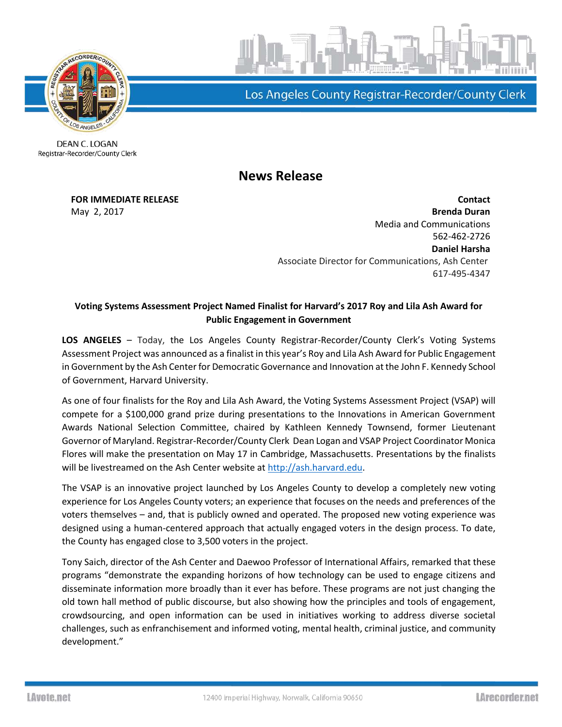

Los Angeles County Registrar-Recorder/County Clerk

DEAN C. LOGAN Registrar-Recorder/County Clerk

**News Release**

**FOR IMMEDIATE RELEASE Contact** May 2, 2017 **Brenda Duran** Media and Communications 562-462-2726 **Daniel Harsha** Associate Director for Communications, Ash Center 617-495-4347

## **Voting Systems Assessment Project Named Finalist for Harvard's 2017 Roy and Lila Ash Award for Public Engagement in Government**

**LOS ANGELES** – Today, the Los Angeles County Registrar-Recorder/County Clerk's Voting Systems Assessment Project was announced as a finalist in this year's Roy and Lila Ash Award for Public Engagement in Government by the Ash Center for Democratic Governance and Innovation at the John F. Kennedy School of Government, Harvard University.

As one of four finalists for the Roy and Lila Ash Award, the Voting Systems Assessment Project (VSAP) will compete for a \$100,000 grand prize during presentations to the Innovations in American Government Awards National Selection Committee, chaired by Kathleen Kennedy Townsend, former Lieutenant Governor of Maryland. Registrar-Recorder/County Clerk Dean Logan and VSAP Project Coordinator Monica Flores will make the presentation on May 17 in Cambridge, Massachusetts. Presentations by the finalists will be livestreamed on the Ash Center website at [http://ash.harvard.edu.](http://ash.harvard.edu/)

The VSAP is an innovative project launched by Los Angeles County to develop a completely new voting experience for Los Angeles County voters; an experience that focuses on the needs and preferences of the voters themselves – and, that is publicly owned and operated. The proposed new voting experience was designed using a human-centered approach that actually engaged voters in the design process. To date, the County has engaged close to 3,500 voters in the project.

Tony Saich, director of the Ash Center and Daewoo Professor of International Affairs, remarked that these programs "demonstrate the expanding horizons of how technology can be used to engage citizens and disseminate information more broadly than it ever has before. These programs are not just changing the old town hall method of public discourse, but also showing how the principles and tools of engagement, crowdsourcing, and open information can be used in initiatives working to address diverse societal challenges, such as enfranchisement and informed voting, mental health, criminal justice, and community development."